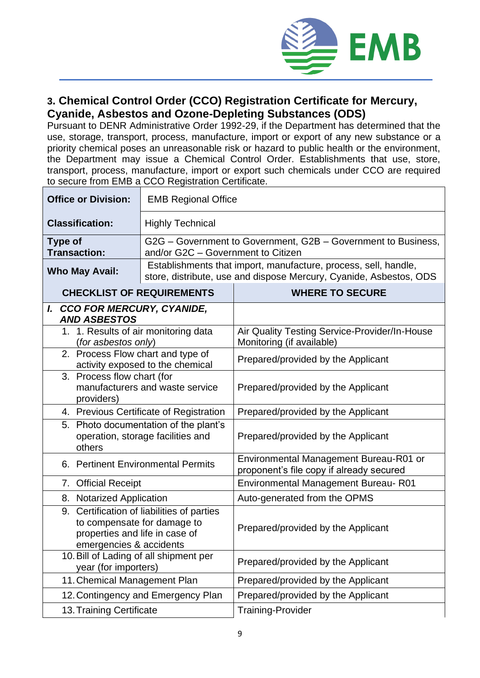

## **3. Chemical Control Order (CCO) Registration Certificate for Mercury, Cyanide, Asbestos and Ozone-Depleting Substances (ODS)**

Pursuant to DENR Administrative Order 1992-29, if the Department has determined that the use, storage, transport, process, manufacture, import or export of any new substance or a priority chemical poses an unreasonable risk or hazard to public health or the environment, the Department may issue a Chemical Control Order. Establishments that use, store, transport, process, manufacture, import or export such chemicals under CCO are required to secure from EMB a CCO Registration Certificate.

| <b>Office or Division:</b>                                                                                                                   | <b>EMB Regional Office</b>                                                                                                            |                                                                                    |  |  |
|----------------------------------------------------------------------------------------------------------------------------------------------|---------------------------------------------------------------------------------------------------------------------------------------|------------------------------------------------------------------------------------|--|--|
| <b>Classification:</b>                                                                                                                       | <b>Highly Technical</b>                                                                                                               |                                                                                    |  |  |
| G2G – Government to Government, G2B – Government to Business,<br><b>Type of</b><br>and/or G2C - Government to Citizen<br><b>Transaction:</b> |                                                                                                                                       |                                                                                    |  |  |
| <b>Who May Avail:</b>                                                                                                                        | Establishments that import, manufacture, process, sell, handle,<br>store, distribute, use and dispose Mercury, Cyanide, Asbestos, ODS |                                                                                    |  |  |
| <b>CHECKLIST OF REQUIREMENTS</b>                                                                                                             |                                                                                                                                       | <b>WHERE TO SECURE</b>                                                             |  |  |
| I. CCO FOR MERCURY, CYANIDE,<br><b>AND ASBESTOS</b>                                                                                          |                                                                                                                                       |                                                                                    |  |  |
| 1. 1. Results of air monitoring data<br>(for asbestos only)                                                                                  |                                                                                                                                       | Air Quality Testing Service-Provider/In-House<br>Monitoring (if available)         |  |  |
| 2. Process Flow chart and type of<br>activity exposed to the chemical                                                                        |                                                                                                                                       | Prepared/provided by the Applicant                                                 |  |  |
| 3. Process flow chart (for<br>manufacturers and waste service<br>providers)                                                                  |                                                                                                                                       | Prepared/provided by the Applicant                                                 |  |  |
| 4. Previous Certificate of Registration                                                                                                      |                                                                                                                                       | Prepared/provided by the Applicant                                                 |  |  |
| 5. Photo documentation of the plant's<br>operation, storage facilities and<br>others                                                         |                                                                                                                                       | Prepared/provided by the Applicant                                                 |  |  |
| 6. Pertinent Environmental Permits                                                                                                           |                                                                                                                                       | Environmental Management Bureau-R01 or<br>proponent's file copy if already secured |  |  |
| 7. Official Receipt                                                                                                                          |                                                                                                                                       | Environmental Management Bureau-R01                                                |  |  |
| 8. Notarized Application                                                                                                                     |                                                                                                                                       | Auto-generated from the OPMS                                                       |  |  |
| 9. Certification of liabilities of parties<br>to compensate for damage to<br>properties and life in case of<br>emergencies & accidents       |                                                                                                                                       | Prepared/provided by the Applicant                                                 |  |  |
| 10. Bill of Lading of all shipment per<br>year (for importers)                                                                               |                                                                                                                                       | Prepared/provided by the Applicant                                                 |  |  |
| 11. Chemical Management Plan                                                                                                                 |                                                                                                                                       | Prepared/provided by the Applicant                                                 |  |  |
| 12. Contingency and Emergency Plan                                                                                                           |                                                                                                                                       | Prepared/provided by the Applicant                                                 |  |  |
| 13. Training Certificate                                                                                                                     |                                                                                                                                       | <b>Training-Provider</b>                                                           |  |  |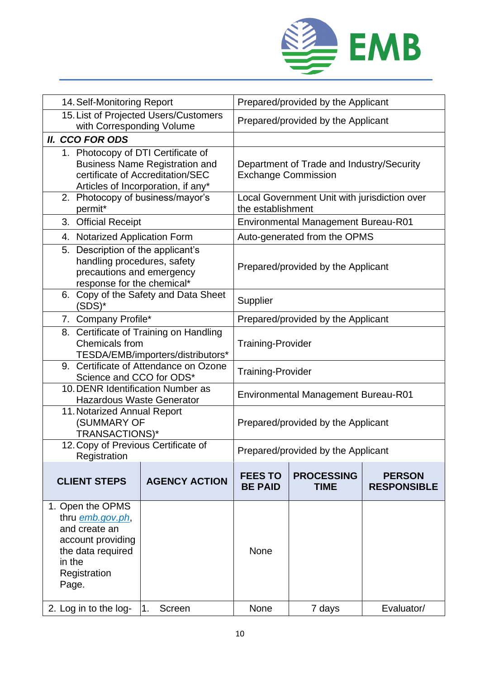

| 14. Self-Monitoring Report                                                                                                                            |                      | Prepared/provided by the Applicant                                      |                                  |                                     |
|-------------------------------------------------------------------------------------------------------------------------------------------------------|----------------------|-------------------------------------------------------------------------|----------------------------------|-------------------------------------|
| 15. List of Projected Users/Customers<br>with Corresponding Volume                                                                                    |                      | Prepared/provided by the Applicant                                      |                                  |                                     |
| <b>II. CCO FOR ODS</b>                                                                                                                                |                      |                                                                         |                                  |                                     |
| 1. Photocopy of DTI Certificate of<br><b>Business Name Registration and</b><br>certificate of Accreditation/SEC<br>Articles of Incorporation, if any* |                      | Department of Trade and Industry/Security<br><b>Exchange Commission</b> |                                  |                                     |
| 2. Photocopy of business/mayor's<br>permit*                                                                                                           |                      | Local Government Unit with jurisdiction over<br>the establishment       |                                  |                                     |
| 3. Official Receipt                                                                                                                                   |                      | <b>Environmental Management Bureau-R01</b>                              |                                  |                                     |
| 4. Notarized Application Form                                                                                                                         |                      | Auto-generated from the OPMS                                            |                                  |                                     |
| 5. Description of the applicant's<br>handling procedures, safety<br>precautions and emergency<br>response for the chemical*                           |                      | Prepared/provided by the Applicant                                      |                                  |                                     |
| 6. Copy of the Safety and Data Sheet<br>(SDS)*                                                                                                        |                      | Supplier                                                                |                                  |                                     |
| 7. Company Profile*                                                                                                                                   |                      | Prepared/provided by the Applicant                                      |                                  |                                     |
| 8. Certificate of Training on Handling<br>Chemicals from<br>TESDA/EMB/importers/distributors*                                                         |                      | <b>Training-Provider</b>                                                |                                  |                                     |
| 9. Certificate of Attendance on Ozone<br>Science and CCO for ODS*                                                                                     |                      | Training-Provider                                                       |                                  |                                     |
| 10. DENR Identification Number as<br><b>Hazardous Waste Generator</b>                                                                                 |                      | <b>Environmental Management Bureau-R01</b>                              |                                  |                                     |
| 11. Notarized Annual Report<br>(SUMMARY OF<br>TRANSACTIONS)*                                                                                          |                      | Prepared/provided by the Applicant                                      |                                  |                                     |
| 12. Copy of Previous Certificate of<br>Registration                                                                                                   |                      | Prepared/provided by the Applicant                                      |                                  |                                     |
| <b>CLIENT STEPS</b>                                                                                                                                   | <b>AGENCY ACTION</b> | <b>FEES TO</b><br><b>BE PAID</b>                                        | <b>PROCESSING</b><br><b>TIME</b> | <b>PERSON</b><br><b>RESPONSIBLE</b> |
| 1. Open the OPMS<br>thru emb.gov.ph,<br>and create an<br>account providing<br>the data required<br>in the<br>Registration<br>Page.                    |                      | None                                                                    |                                  |                                     |
| 2. Log in to the log-                                                                                                                                 | 1.<br>Screen         | None                                                                    | 7 days                           | Evaluator/                          |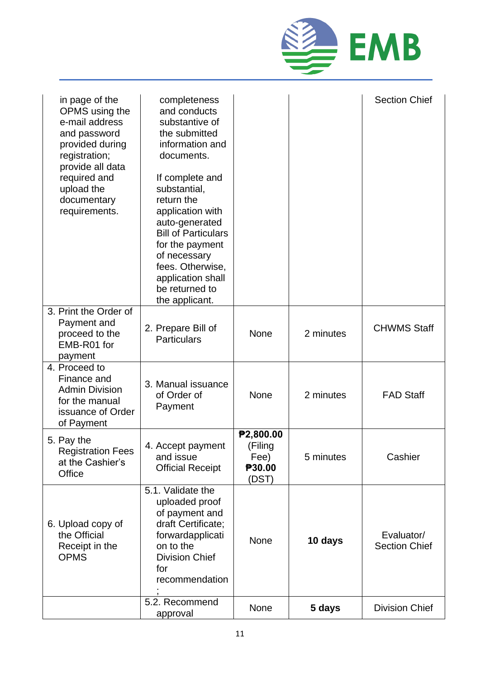

| in page of the<br>OPMS using the<br>e-mail address<br>and password<br>provided during<br>registration;<br>provide all data<br>required and<br>upload the<br>documentary<br>requirements. | completeness<br>and conducts<br>substantive of<br>the submitted<br>information and<br>documents.<br>If complete and<br>substantial,<br>return the<br>application with<br>auto-generated<br><b>Bill of Particulars</b><br>for the payment<br>of necessary<br>fees. Otherwise,<br>application shall<br>be returned to<br>the applicant. |                                                 |           | <b>Section Chief</b>               |
|------------------------------------------------------------------------------------------------------------------------------------------------------------------------------------------|---------------------------------------------------------------------------------------------------------------------------------------------------------------------------------------------------------------------------------------------------------------------------------------------------------------------------------------|-------------------------------------------------|-----------|------------------------------------|
| 3. Print the Order of<br>Payment and<br>proceed to the<br>EMB-R01 for<br>payment                                                                                                         | 2. Prepare Bill of<br><b>Particulars</b>                                                                                                                                                                                                                                                                                              | None                                            | 2 minutes | <b>CHWMS Staff</b>                 |
| 4. Proceed to<br>Finance and<br><b>Admin Division</b><br>for the manual<br>issuance of Order<br>of Payment                                                                               | 3. Manual issuance<br>of Order of<br>Payment                                                                                                                                                                                                                                                                                          | <b>None</b>                                     | 2 minutes | <b>FAD Staff</b>                   |
| 5. Pay the<br><b>Registration Fees</b><br>at the Cashier's<br>Office                                                                                                                     | 4. Accept payment<br>and issue<br><b>Official Receipt</b>                                                                                                                                                                                                                                                                             | ₱2,800.00<br>(Filing<br>Fee)<br>P30.00<br>(DST) | 5 minutes | Cashier                            |
| 6. Upload copy of<br>the Official<br>Receipt in the<br><b>OPMS</b>                                                                                                                       | 5.1. Validate the<br>uploaded proof<br>of payment and<br>draft Certificate;<br>forwardapplicati<br>on to the<br><b>Division Chief</b><br>for<br>recommendation                                                                                                                                                                        | None                                            | 10 days   | Evaluator/<br><b>Section Chief</b> |
|                                                                                                                                                                                          | 5.2. Recommend<br>approval                                                                                                                                                                                                                                                                                                            | None                                            | 5 days    | <b>Division Chief</b>              |